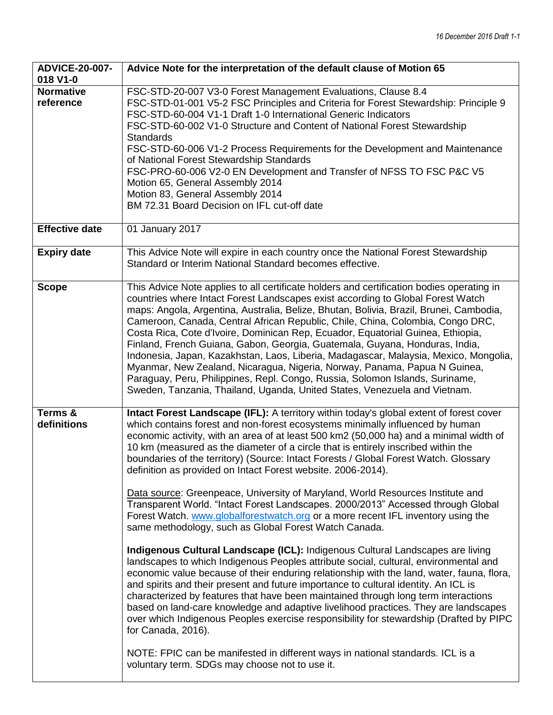| <b>ADVICE-20-007-</b><br>018 V1-0 | Advice Note for the interpretation of the default clause of Motion 65                                                                                                                                                                                                                                                                                                                                                                                                                                                                                                                                                                                                                                                                                                                                                                                                                                                                                                                                                                                                                                                                                                                                                                                                                                                                                                                                                                                                                                                                                                                                                             |
|-----------------------------------|-----------------------------------------------------------------------------------------------------------------------------------------------------------------------------------------------------------------------------------------------------------------------------------------------------------------------------------------------------------------------------------------------------------------------------------------------------------------------------------------------------------------------------------------------------------------------------------------------------------------------------------------------------------------------------------------------------------------------------------------------------------------------------------------------------------------------------------------------------------------------------------------------------------------------------------------------------------------------------------------------------------------------------------------------------------------------------------------------------------------------------------------------------------------------------------------------------------------------------------------------------------------------------------------------------------------------------------------------------------------------------------------------------------------------------------------------------------------------------------------------------------------------------------------------------------------------------------------------------------------------------------|
| <b>Normative</b><br>reference     | FSC-STD-20-007 V3-0 Forest Management Evaluations, Clause 8.4<br>FSC-STD-01-001 V5-2 FSC Principles and Criteria for Forest Stewardship: Principle 9<br>FSC-STD-60-004 V1-1 Draft 1-0 International Generic Indicators<br>FSC-STD-60-002 V1-0 Structure and Content of National Forest Stewardship<br><b>Standards</b><br>FSC-STD-60-006 V1-2 Process Requirements for the Development and Maintenance<br>of National Forest Stewardship Standards<br>FSC-PRO-60-006 V2-0 EN Development and Transfer of NFSS TO FSC P&C V5<br>Motion 65, General Assembly 2014<br>Motion 83, General Assembly 2014<br>BM 72.31 Board Decision on IFL cut-off date                                                                                                                                                                                                                                                                                                                                                                                                                                                                                                                                                                                                                                                                                                                                                                                                                                                                                                                                                                                |
| <b>Effective date</b>             | 01 January 2017                                                                                                                                                                                                                                                                                                                                                                                                                                                                                                                                                                                                                                                                                                                                                                                                                                                                                                                                                                                                                                                                                                                                                                                                                                                                                                                                                                                                                                                                                                                                                                                                                   |
| <b>Expiry date</b>                | This Advice Note will expire in each country once the National Forest Stewardship<br>Standard or Interim National Standard becomes effective.                                                                                                                                                                                                                                                                                                                                                                                                                                                                                                                                                                                                                                                                                                                                                                                                                                                                                                                                                                                                                                                                                                                                                                                                                                                                                                                                                                                                                                                                                     |
| <b>Scope</b>                      | This Advice Note applies to all certificate holders and certification bodies operating in<br>countries where Intact Forest Landscapes exist according to Global Forest Watch<br>maps: Angola, Argentina, Australia, Belize, Bhutan, Bolivia, Brazil, Brunei, Cambodia,<br>Cameroon, Canada, Central African Republic, Chile, China, Colombia, Congo DRC,<br>Costa Rica, Cote d'Ivoire, Dominican Rep, Ecuador, Equatorial Guinea, Ethiopia,<br>Finland, French Guiana, Gabon, Georgia, Guatemala, Guyana, Honduras, India,<br>Indonesia, Japan, Kazakhstan, Laos, Liberia, Madagascar, Malaysia, Mexico, Mongolia,<br>Myanmar, New Zealand, Nicaragua, Nigeria, Norway, Panama, Papua N Guinea,<br>Paraguay, Peru, Philippines, Repl. Congo, Russia, Solomon Islands, Suriname,<br>Sweden, Tanzania, Thailand, Uganda, United States, Venezuela and Vietnam.                                                                                                                                                                                                                                                                                                                                                                                                                                                                                                                                                                                                                                                                                                                                                                      |
| <b>Terms &amp;</b><br>definitions | Intact Forest Landscape (IFL): A territory within today's global extent of forest cover<br>which contains forest and non-forest ecosystems minimally influenced by human<br>economic activity, with an area of at least 500 km2 (50,000 ha) and a minimal width of<br>10 km (measured as the diameter of a circle that is entirely inscribed within the<br>boundaries of the territory) (Source: Intact Forests / Global Forest Watch. Glossary<br>definition as provided on Intact Forest website. 2006-2014).<br>Data source: Greenpeace, University of Maryland, World Resources Institute and<br>Transparent World. "Intact Forest Landscapes. 2000/2013" Accessed through Global<br>Forest Watch. www.globalforestwatch.org or a more recent IFL inventory using the<br>same methodology, such as Global Forest Watch Canada.<br>Indigenous Cultural Landscape (ICL): Indigenous Cultural Landscapes are living<br>landscapes to which Indigenous Peoples attribute social, cultural, environmental and<br>economic value because of their enduring relationship with the land, water, fauna, flora,<br>and spirits and their present and future importance to cultural identity. An ICL is<br>characterized by features that have been maintained through long term interactions<br>based on land-care knowledge and adaptive livelihood practices. They are landscapes<br>over which Indigenous Peoples exercise responsibility for stewardship (Drafted by PIPC<br>for Canada, 2016).<br>NOTE: FPIC can be manifested in different ways in national standards. ICL is a<br>voluntary term. SDGs may choose not to use it. |